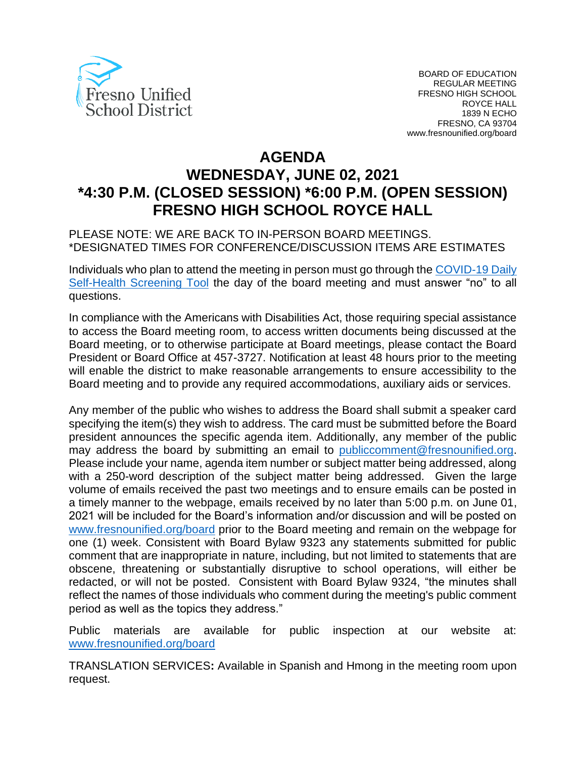

# **AGENDA WEDNESDAY, JUNE 02, 2021 \*4:30 P.M. (CLOSED SESSION) \*6:00 P.M. (OPEN SESSION) FRESNO HIGH SCHOOL ROYCE HALL**

PLEASE NOTE: WE ARE BACK TO IN-PERSON BOARD MEETINGS. \*DESIGNATED TIMES FOR CONFERENCE/DISCUSSION ITEMS ARE ESTIMATES

Individuals who plan to attend the meeting in person must go through the *COVID-19 Daily* [Self-Health Screening Tool](https://health.fresnounified.org/wp-content/uploads/FUSD-Self-Health-Screening-Tool.pdf) the day of the board meeting and must answer "no" to all questions.

In compliance with the Americans with Disabilities Act, those requiring special assistance to access the Board meeting room, to access written documents being discussed at the Board meeting, or to otherwise participate at Board meetings, please contact the Board President or Board Office at 457-3727. Notification at least 48 hours prior to the meeting will enable the district to make reasonable arrangements to ensure accessibility to the Board meeting and to provide any required accommodations, auxiliary aids or services.

Any member of the public who wishes to address the Board shall submit a speaker card specifying the item(s) they wish to address. The card must be submitted before the Board president announces the specific agenda item. Additionally, any member of the public may address the board by submitting an email to *[publiccomment@fresnounified.org.](mailto:publiccomment@fresnounified.org) 31T*Please include your name, agenda item number or subject matter being addressed, along with a 250-word description of the subject matter being addressed. Given the large volume of emails received the past two meetings and to ensure emails can be posted in a timely manner to the webpage, emails received by no later than 5:00 p.m. on June 01, 2021 will be included for the Board's information and/or discussion and will be posted on [www.fresnounified.org/board](http://www.fresnounified.org/board) prior to the Board meeting and remain on the webpage for one (1) week. Consistent with Board Bylaw 9323 any statements submitted for public comment that are inappropriate in nature, including, but not limited to statements that are obscene, threatening or substantially disruptive to school operations, will either be redacted, or will not be posted. Consistent with Board Bylaw 9324, "the minutes shall reflect the names of those individuals who comment during the meeting's public comment period as well as the topics they address."

Public materials are available for public inspection at our website at: [www.fresnounified.org/board](http://www.fresnounified.org/board)

TRANSLATION SERVICES**:** Available in Spanish and Hmong in the meeting room upon request.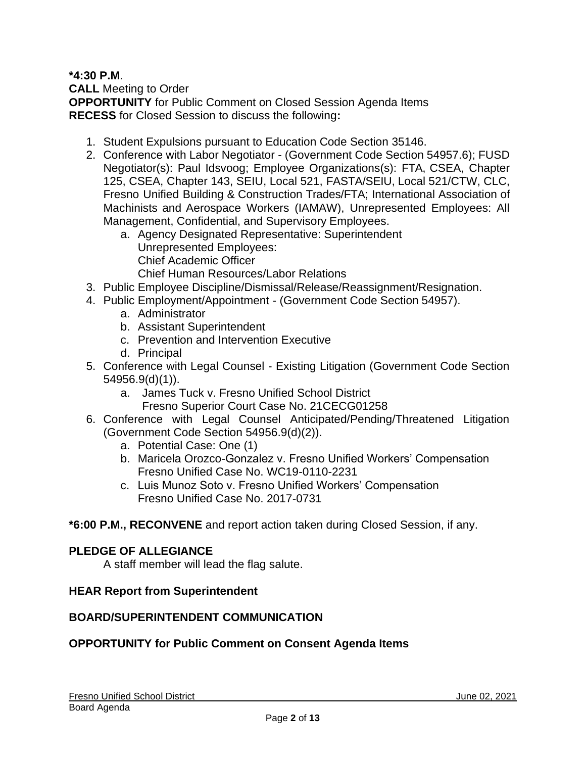### **\*4:30 P.M**.

**CALL** Meeting to Order **OPPORTUNITY** for Public Comment on Closed Session Agenda Items **RECESS** for Closed Session to discuss the following**:**

- 1. Student Expulsions pursuant to Education Code Section 35146.
- 2. Conference with Labor Negotiator (Government Code Section 54957.6); FUSD Negotiator(s): Paul Idsvoog; Employee Organizations(s): FTA, CSEA, Chapter 125, CSEA, Chapter 143, SEIU, Local 521, FASTA/SEIU, Local 521/CTW, CLC, Fresno Unified Building & Construction Trades/FTA; International Association of Machinists and Aerospace Workers (IAMAW), Unrepresented Employees: All Management, Confidential, and Supervisory Employees.
	- a. Agency Designated Representative: Superintendent Unrepresented Employees: Chief Academic Officer Chief Human Resources/Labor Relations
- 3. Public Employee Discipline/Dismissal/Release/Reassignment/Resignation.
- 4. Public Employment/Appointment (Government Code Section 54957).
	- a. Administrator
	- b. Assistant Superintendent
	- c. Prevention and Intervention Executive
	- d. Principal
- 5. Conference with Legal Counsel Existing Litigation (Government Code Section 54956.9(d)(1)).
	- a. James Tuck v. Fresno Unified School District Fresno Superior Court Case No. 21CECG01258
- 6. Conference with Legal Counsel Anticipated/Pending/Threatened Litigation (Government Code Section 54956.9(d)(2)).
	- a. Potential Case: One (1)
	- b. Maricela Orozco-Gonzalez v. Fresno Unified Workers' Compensation Fresno Unified Case No. WC19-0110-2231
	- c. Luis Munoz Soto v. Fresno Unified Workers' Compensation Fresno Unified Case No. 2017-0731

# **\*6:00 P.M., RECONVENE** and report action taken during Closed Session, if any.

#### **PLEDGE OF ALLEGIANCE**

A staff member will lead the flag salute.

#### **HEAR Report from Superintendent**

#### **BOARD/SUPERINTENDENT COMMUNICATION**

# **OPPORTUNITY for Public Comment on Consent Agenda Items**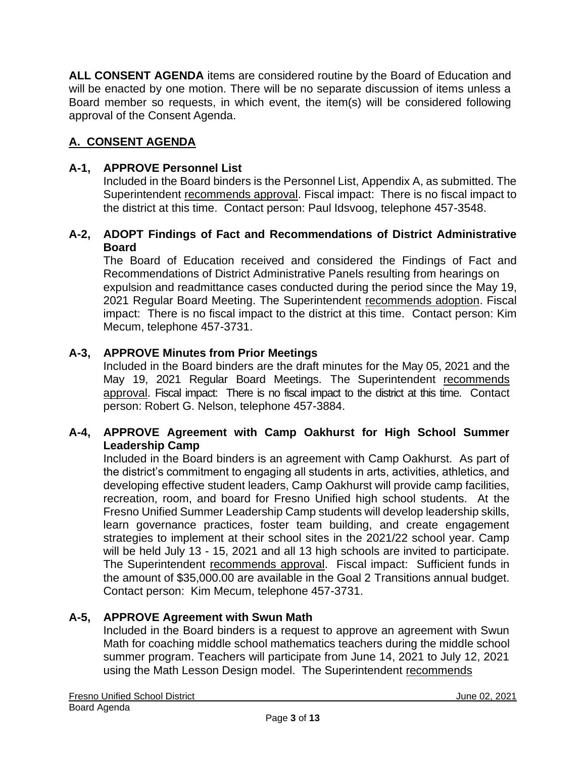**ALL CONSENT AGENDA** items are considered routine by the Board of Education and will be enacted by one motion. There will be no separate discussion of items unless a Board member so requests, in which event, the item(s) will be considered following approval of the Consent Agenda.

# **A. CONSENT AGENDA**

### **A-1, APPROVE Personnel List**

Included in the Board binders is the Personnel List, Appendix A, as submitted. The Superintendent recommends approval. Fiscal impact: There is no fiscal impact to the district at this time. Contact person: Paul Idsvoog, telephone 457-3548.

### **A-2, ADOPT Findings of Fact and Recommendations of District Administrative Board**

The Board of Education received and considered the Findings of Fact and Recommendations of District Administrative Panels resulting from hearings on expulsion and readmittance cases conducted during the period since the May 19, 2021 Regular Board Meeting. The Superintendent recommends adoption. Fiscal impact: There is no fiscal impact to the district at this time. Contact person: Kim Mecum, telephone 457-3731.

# **A-3, APPROVE Minutes from Prior Meetings**

Included in the Board binders are the draft minutes for the May 05, 2021 and the May 19, 2021 Regular Board Meetings. The Superintendent recommends approval. Fiscal impact: There is no fiscal impact to the district at this time. Contact person: Robert G. Nelson, telephone 457-3884.

### **A-4, APPROVE Agreement with Camp Oakhurst for High School Summer Leadership Camp**

Included in the Board binders is an agreement with Camp Oakhurst. As part of the district's commitment to engaging all students in arts, activities, athletics, and developing effective student leaders, Camp Oakhurst will provide camp facilities, recreation, room, and board for Fresno Unified high school students. At the Fresno Unified Summer Leadership Camp students will develop leadership skills, learn governance practices, foster team building, and create engagement strategies to implement at their school sites in the 2021/22 school year. Camp will be held July 13 - 15, 2021 and all 13 high schools are invited to participate. The Superintendent recommends approval. Fiscal impact: Sufficient funds in the amount of \$35,000.00 are available in the Goal 2 Transitions annual budget. Contact person: Kim Mecum, telephone 457-3731.

#### **A-5, APPROVE Agreement with Swun Math**

Included in the Board binders is a request to approve an agreement with Swun Math for coaching middle school mathematics teachers during the middle school summer program. Teachers will participate from June 14, 2021 to July 12, 2021 using the Math Lesson Design model. The Superintendent recommends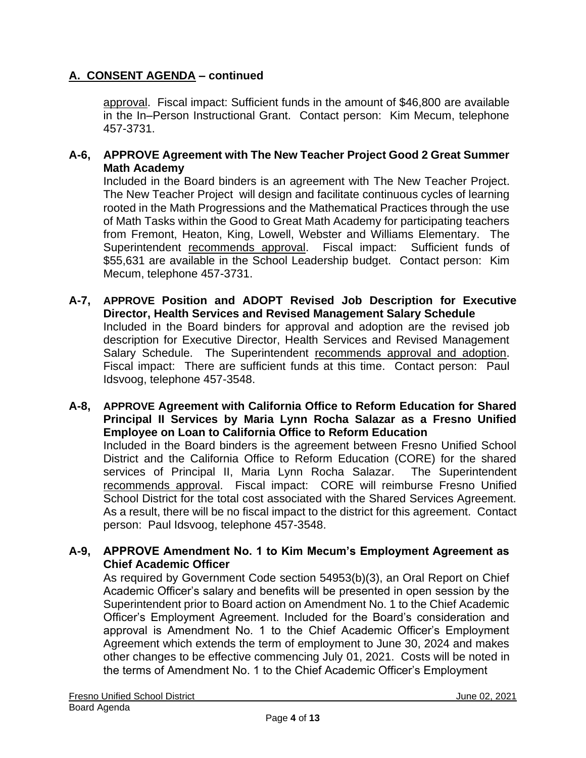approval. Fiscal impact: Sufficient funds in the amount of \$46,800 are available in the In–Person Instructional Grant. Contact person: Kim Mecum, telephone 457-3731.

### **A-6, APPROVE Agreement with The New Teacher Project Good 2 Great Summer Math Academy**

Included in the Board binders is an agreement with The New Teacher Project. The New Teacher Project will design and facilitate continuous cycles of learning rooted in the Math Progressions and the Mathematical Practices through the use of Math Tasks within the Good to Great Math Academy for participating teachers from Fremont, Heaton, King, Lowell, Webster and Williams Elementary. The Superintendent recommends approval. Fiscal impact: Sufficient funds of \$55,631 are available in the School Leadership budget. Contact person: Kim Mecum, telephone 457-3731.

- **A-7, APPROVE Position and ADOPT Revised Job Description for Executive Director, Health Services and Revised Management Salary Schedule** Included in the Board binders for approval and adoption are the revised job description for Executive Director, Health Services and Revised Management Salary Schedule. The Superintendent recommends approval and adoption. Fiscal impact: There are sufficient funds at this time. Contact person: Paul Idsvoog, telephone 457-3548.
- **A-8, APPROVE Agreement with California Office to Reform Education for Shared Principal II Services by Maria Lynn Rocha Salazar as a Fresno Unified Employee on Loan to California Office to Reform Education** Included in the Board binders is the agreement between Fresno Unified School District and the California Office to Reform Education (CORE) for the shared services of Principal II, Maria Lynn Rocha Salazar. The Superintendent recommends approval. Fiscal impact: CORE will reimburse Fresno Unified School District for the total cost associated with the Shared Services Agreement. As a result, there will be no fiscal impact to the district for this agreement. Contact person: Paul Idsvoog, telephone 457-3548.

### **A-9, APPROVE Amendment No. 1 to Kim Mecum's Employment Agreement as Chief Academic Officer**

As required by Government Code section 54953(b)(3), an Oral Report on Chief Academic Officer's salary and benefits will be presented in open session by the Superintendent prior to Board action on Amendment No. 1 to the Chief Academic Officer's Employment Agreement. Included for the Board's consideration and approval is Amendment No. 1 to the Chief Academic Officer's Employment Agreement which extends the term of employment to June 30, 2024 and makes other changes to be effective commencing July 01, 2021. Costs will be noted in the terms of Amendment No. 1 to the Chief Academic Officer's Employment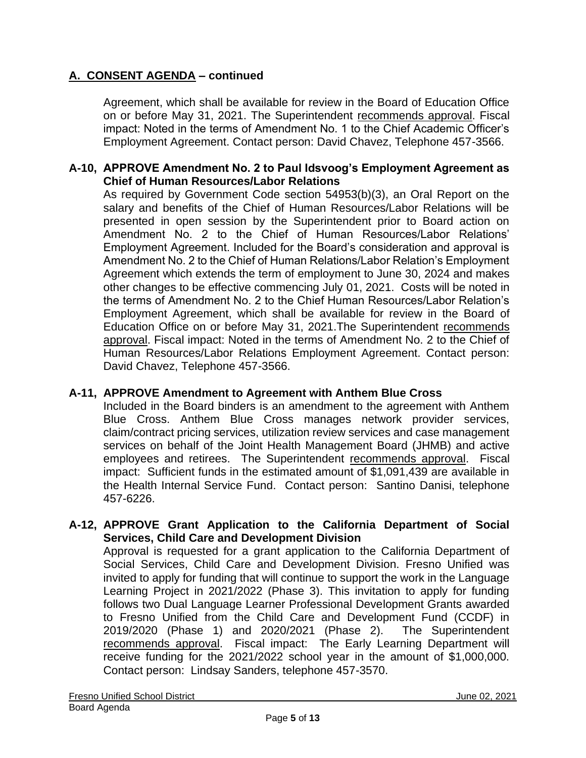Agreement, which shall be available for review in the Board of Education Office on or before May 31, 2021. The Superintendent recommends approval. Fiscal impact: Noted in the terms of Amendment No. 1 to the Chief Academic Officer's Employment Agreement. Contact person: David Chavez, Telephone 457-3566.

### **A-10, APPROVE Amendment No. 2 to Paul Idsvoog's Employment Agreement as Chief of Human Resources/Labor Relations**

As required by Government Code section 54953(b)(3), an Oral Report on the salary and benefits of the Chief of Human Resources/Labor Relations will be presented in open session by the Superintendent prior to Board action on Amendment No. 2 to the Chief of Human Resources/Labor Relations' Employment Agreement. Included for the Board's consideration and approval is Amendment No. 2 to the Chief of Human Relations/Labor Relation's Employment Agreement which extends the term of employment to June 30, 2024 and makes other changes to be effective commencing July 01, 2021. Costs will be noted in the terms of Amendment No. 2 to the Chief Human Resources/Labor Relation's Employment Agreement, which shall be available for review in the Board of Education Office on or before May 31, 2021.The Superintendent recommends approval. Fiscal impact: Noted in the terms of Amendment No. 2 to the Chief of Human Resources/Labor Relations Employment Agreement. Contact person: David Chavez, Telephone 457-3566.

# **A-11, APPROVE Amendment to Agreement with Anthem Blue Cross**

Included in the Board binders is an amendment to the agreement with Anthem Blue Cross. Anthem Blue Cross manages network provider services, claim/contract pricing services, utilization review services and case management services on behalf of the Joint Health Management Board (JHMB) and active employees and retirees. The Superintendent recommends approval. Fiscal impact: Sufficient funds in the estimated amount of \$1,091,439 are available in the Health Internal Service Fund. Contact person: Santino Danisi, telephone 457-6226.

### **A-12, APPROVE Grant Application to the California Department of Social Services, Child Care and Development Division**

Approval is requested for a grant application to the California Department of Social Services, Child Care and Development Division. Fresno Unified was invited to apply for funding that will continue to support the work in the Language Learning Project in 2021/2022 (Phase 3). This invitation to apply for funding follows two Dual Language Learner Professional Development Grants awarded to Fresno Unified from the Child Care and Development Fund (CCDF) in 2019/2020 (Phase 1) and 2020/2021 (Phase 2). The Superintendent recommends approval. Fiscal impact: The Early Learning Department will receive funding for the 2021/2022 school year in the amount of \$1,000,000. Contact person: Lindsay Sanders, telephone 457-3570.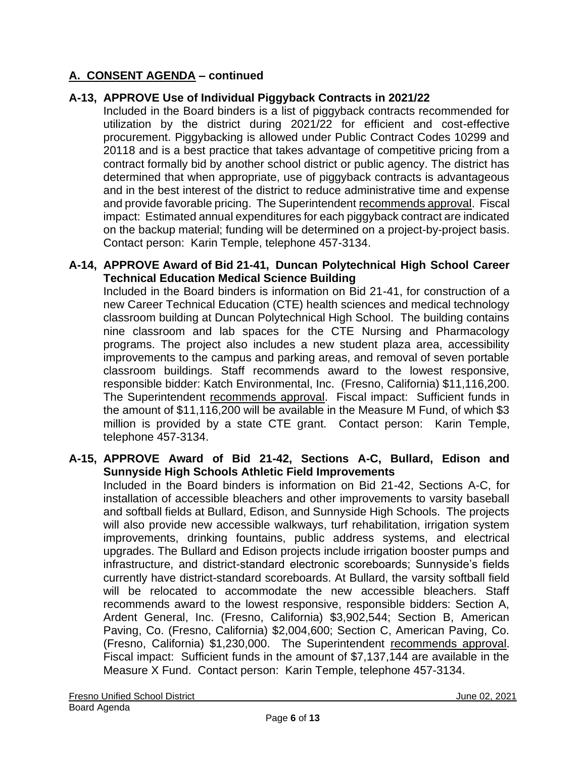# **A-13, APPROVE Use of Individual Piggyback Contracts in 2021/22**

Included in the Board binders is a list of piggyback contracts recommended for utilization by the district during 2021/22 for efficient and cost-effective procurement. Piggybacking is allowed under Public Contract Codes 10299 and 20118 and is a best practice that takes advantage of competitive pricing from a contract formally bid by another school district or public agency. The district has determined that when appropriate, use of piggyback contracts is advantageous and in the best interest of the district to reduce administrative time and expense and provide favorable pricing. The Superintendent recommends approval. Fiscal impact: Estimated annual expenditures for each piggyback contract are indicated on the backup material; funding will be determined on a project-by-project basis. Contact person: Karin Temple, telephone 457-3134.

#### **A-14, APPROVE Award of Bid 21-41, Duncan Polytechnical High School Career Technical Education Medical Science Building**

Included in the Board binders is information on Bid 21-41, for construction of a new Career Technical Education (CTE) health sciences and medical technology classroom building at Duncan Polytechnical High School. The building contains nine classroom and lab spaces for the CTE Nursing and Pharmacology programs. The project also includes a new student plaza area, accessibility improvements to the campus and parking areas, and removal of seven portable classroom buildings. Staff recommends award to the lowest responsive, responsible bidder: Katch Environmental, Inc. (Fresno, California) \$11,116,200. The Superintendent recommends approval. Fiscal impact: Sufficient funds in the amount of \$11,116,200 will be available in the Measure M Fund, of which \$3 million is provided by a state CTE grant. Contact person: Karin Temple, telephone 457-3134.

#### **A-15, APPROVE Award of Bid 21-42, Sections A-C, Bullard, Edison and Sunnyside High Schools Athletic Field Improvements**

Included in the Board binders is information on Bid 21-42, Sections A-C, for installation of accessible bleachers and other improvements to varsity baseball and softball fields at Bullard, Edison, and Sunnyside High Schools. The projects will also provide new accessible walkways, turf rehabilitation, irrigation system improvements, drinking fountains, public address systems, and electrical upgrades. The Bullard and Edison projects include irrigation booster pumps and infrastructure, and district-standard electronic scoreboards; Sunnyside's fields currently have district-standard scoreboards. At Bullard, the varsity softball field will be relocated to accommodate the new accessible bleachers. Staff recommends award to the lowest responsive, responsible bidders: Section A, Ardent General, Inc. (Fresno, California) \$3,902,544; Section B, American Paving, Co. (Fresno, California) \$2,004,600; Section C, American Paving, Co. (Fresno, California) \$1,230,000. The Superintendent recommends approval. Fiscal impact: Sufficient funds in the amount of \$7,137,144 are available in the Measure X Fund. Contact person: Karin Temple, telephone 457-3134.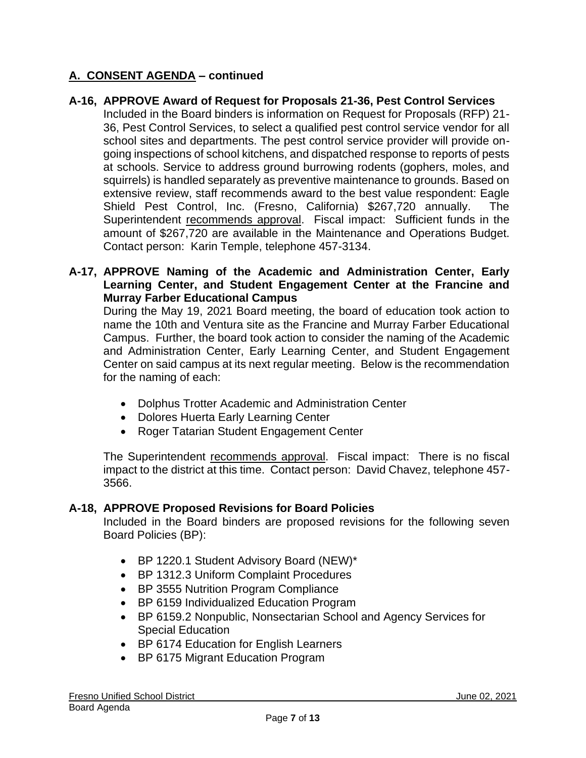### **A-16, APPROVE Award of Request for Proposals 21-36, Pest Control Services**

Included in the Board binders is information on Request for Proposals (RFP) 21- 36, Pest Control Services, to select a qualified pest control service vendor for all school sites and departments. The pest control service provider will provide ongoing inspections of school kitchens, and dispatched response to reports of pests at schools. Service to address ground burrowing rodents (gophers, moles, and squirrels) is handled separately as preventive maintenance to grounds. Based on extensive review, staff recommends award to the best value respondent: Eagle Shield Pest Control, Inc. (Fresno, California) \$267,720 annually. The Superintendent recommends approval. Fiscal impact: Sufficient funds in the amount of \$267,720 are available in the Maintenance and Operations Budget. Contact person: Karin Temple, telephone 457-3134.

### **A-17, APPROVE Naming of the Academic and Administration Center, Early Learning Center, and Student Engagement Center at the Francine and Murray Farber Educational Campus**

During the May 19, 2021 Board meeting, the board of education took action to name the 10th and Ventura site as the Francine and Murray Farber Educational Campus. Further, the board took action to consider the naming of the Academic and Administration Center, Early Learning Center, and Student Engagement Center on said campus at its next regular meeting. Below is the recommendation for the naming of each:

- Dolphus Trotter Academic and Administration Center
- Dolores Huerta Early Learning Center
- Roger Tatarian Student Engagement Center

The Superintendent recommends approval. Fiscal impact: There is no fiscal impact to the district at this time. Contact person: David Chavez, telephone 457- 3566.

#### **A-18, APPROVE Proposed Revisions for Board Policies**

Included in the Board binders are proposed revisions for the following seven Board Policies (BP):

- BP 1220.1 Student Advisory Board (NEW)\*
- BP 1312.3 Uniform Complaint Procedures
- BP 3555 Nutrition Program Compliance
- BP 6159 Individualized Education Program
- BP 6159.2 Nonpublic, Nonsectarian School and Agency Services for Special Education
- BP 6174 Education for English Learners
- BP 6175 Migrant Education Program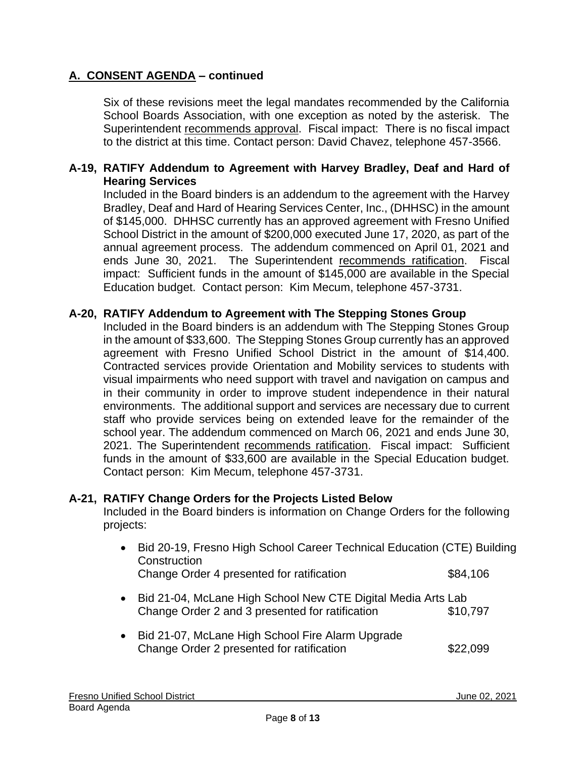Six of these revisions meet the legal mandates recommended by the California School Boards Association, with one exception as noted by the asterisk. The Superintendent recommends approval. Fiscal impact: There is no fiscal impact to the district at this time. Contact person: David Chavez, telephone 457-3566.

#### **A-19, RATIFY Addendum to Agreement with Harvey Bradley, Deaf and Hard of Hearing Services**

Included in the Board binders is an addendum to the agreement with the Harvey Bradley, Deaf and Hard of Hearing Services Center, Inc., (DHHSC) in the amount of \$145,000. DHHSC currently has an approved agreement with Fresno Unified School District in the amount of \$200,000 executed June 17, 2020, as part of the annual agreement process. The addendum commenced on April 01, 2021 and ends June 30, 2021. The Superintendent recommends ratification. Fiscal impact: Sufficient funds in the amount of \$145,000 are available in the Special Education budget. Contact person: Kim Mecum, telephone 457-3731.

### **A-20, RATIFY Addendum to Agreement with The Stepping Stones Group**

Included in the Board binders is an addendum with The Stepping Stones Group in the amount of \$33,600. The Stepping Stones Group currently has an approved agreement with Fresno Unified School District in the amount of \$14,400. Contracted services provide Orientation and Mobility services to students with visual impairments who need support with travel and navigation on campus and in their community in order to improve student independence in their natural environments. The additional support and services are necessary due to current staff who provide services being on extended leave for the remainder of the school year. The addendum commenced on March 06, 2021 and ends June 30, 2021. The Superintendent recommends ratification. Fiscal impact: Sufficient funds in the amount of \$33,600 are available in the Special Education budget. Contact person: Kim Mecum, telephone 457-3731.

#### **A-21, RATIFY Change Orders for the Projects Listed Below**

Included in the Board binders is information on Change Orders for the following projects:

- Bid 20-19, Fresno High School Career Technical Education (CTE) Building **Construction** Change Order 4 presented for ratification  $$84,106$ • Bid 21-04, McLane High School New CTE Digital Media Arts Lab Change Order 2 and 3 presented for ratification \$10,797 • Bid 21-07, McLane High School Fire Alarm Upgrade
- Change Order 2 presented for ratification  $$22,099$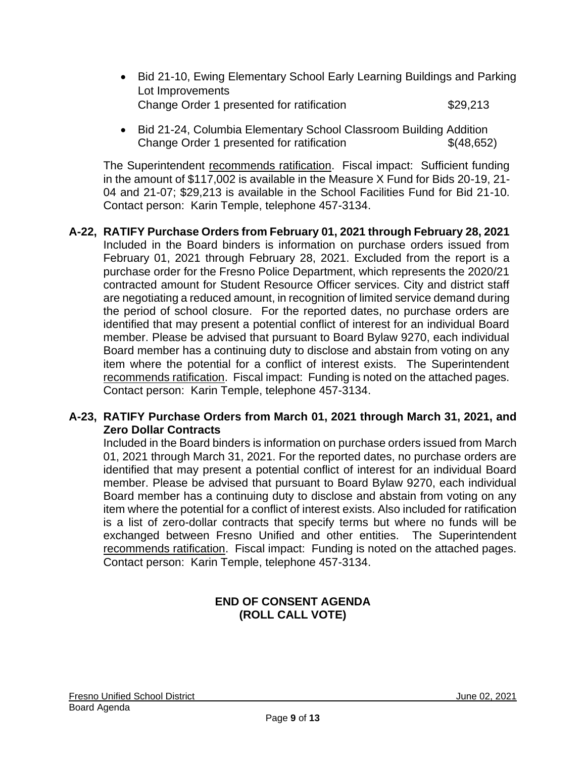- Bid 21-10, Ewing Elementary School Early Learning Buildings and Parking Lot Improvements Change Order 1 presented for ratification \$29,213
- Bid 21-24, Columbia Elementary School Classroom Building Addition Change Order 1 presented for ratification  $\{(48,652)$

The Superintendent recommends ratification. Fiscal impact: Sufficient funding in the amount of \$117,002 is available in the Measure X Fund for Bids 20-19, 21- 04 and 21-07; \$29,213 is available in the School Facilities Fund for Bid 21-10. Contact person: Karin Temple, telephone 457-3134.

**A-22, RATIFY Purchase Orders from February 01, 2021 through February 28, 2021** Included in the Board binders is information on purchase orders issued from February 01, 2021 through February 28, 2021. Excluded from the report is a purchase order for the Fresno Police Department, which represents the 2020/21 contracted amount for Student Resource Officer services. City and district staff are negotiating a reduced amount, in recognition of limited service demand during the period of school closure. For the reported dates, no purchase orders are identified that may present a potential conflict of interest for an individual Board member. Please be advised that pursuant to Board Bylaw 9270, each individual Board member has a continuing duty to disclose and abstain from voting on any item where the potential for a conflict of interest exists. The Superintendent recommends ratification. Fiscal impact: Funding is noted on the attached pages. Contact person: Karin Temple, telephone 457-3134.

### **A-23, RATIFY Purchase Orders from March 01, 2021 through March 31, 2021, and Zero Dollar Contracts**

Included in the Board binders is information on purchase orders issued from March 01, 2021 through March 31, 2021. For the reported dates, no purchase orders are identified that may present a potential conflict of interest for an individual Board member. Please be advised that pursuant to Board Bylaw 9270, each individual Board member has a continuing duty to disclose and abstain from voting on any item where the potential for a conflict of interest exists. Also included for ratification is a list of zero-dollar contracts that specify terms but where no funds will be exchanged between Fresno Unified and other entities. The Superintendent recommends ratification. Fiscal impact: Funding is noted on the attached pages. Contact person: Karin Temple, telephone 457-3134.

# **END OF CONSENT AGENDA (ROLL CALL VOTE)**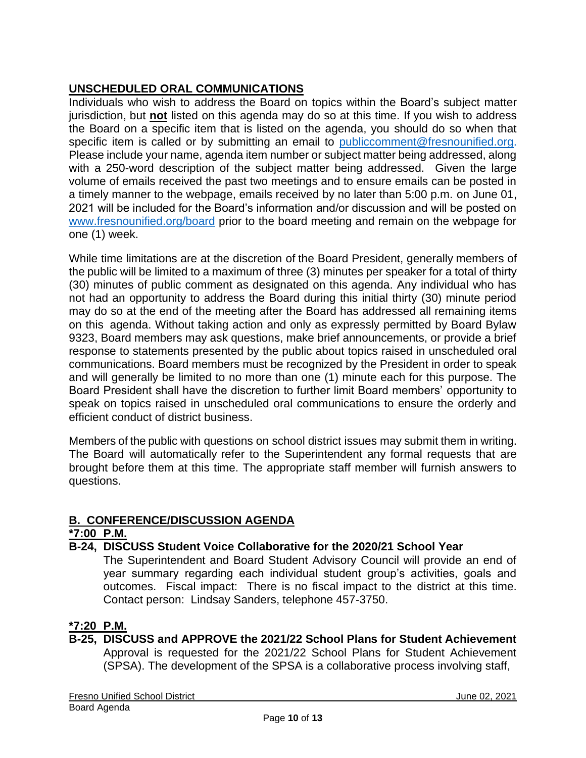# **UNSCHEDULED ORAL COMMUNICATIONS**

Individuals who wish to address the Board on topics within the Board's subject matter jurisdiction, but **not** listed on this agenda may do so at this time. If you wish to address the Board on a specific item that is listed on the agenda, you should do so when that specific item is called or by submitting an email to [publiccomment@fresnounified.org.](mailto:publiccomment@fresnounified.org) Please include your name, agenda item number or subject matter being addressed, along with a 250-word description of the subject matter being addressed. Given the large volume of emails received the past two meetings and to ensure emails can be posted in a timely manner to the webpage, emails received by no later than 5:00 p.m. on June 01, 2021 will be included for the Board's information and/or discussion and will be posted on [www.fresnounified.org/board](http://www.fresnounified.org/board) prior to the board meeting and remain on the webpage for one (1) week.

While time limitations are at the discretion of the Board President, generally members of the public will be limited to a maximum of three (3) minutes per speaker for a total of thirty (30) minutes of public comment as designated on this agenda. Any individual who has not had an opportunity to address the Board during this initial thirty (30) minute period may do so at the end of the meeting after the Board has addressed all remaining items on this agenda. Without taking action and only as expressly permitted by Board Bylaw 9323, Board members may ask questions, make brief announcements, or provide a brief response to statements presented by the public about topics raised in unscheduled oral communications. Board members must be recognized by the President in order to speak and will generally be limited to no more than one (1) minute each for this purpose. The Board President shall have the discretion to further limit Board members' opportunity to speak on topics raised in unscheduled oral communications to ensure the orderly and efficient conduct of district business.

Members of the public with questions on school district issues may submit them in writing. The Board will automatically refer to the Superintendent any formal requests that are brought before them at this time. The appropriate staff member will furnish answers to questions.

# **B. CONFERENCE/DISCUSSION AGENDA**

# **\*7:00 P.M.**

**B-24, DISCUSS Student Voice Collaborative for the 2020/21 School Year**

The Superintendent and Board Student Advisory Council will provide an end of year summary regarding each individual student group's activities, goals and outcomes. Fiscal impact: There is no fiscal impact to the district at this time. Contact person: Lindsay Sanders, telephone 457-3750.

# **\*7:20 P.M.**

**B-25, DISCUSS and APPROVE the 2021/22 School Plans for Student Achievement** Approval is requested for the 2021/22 School Plans for Student Achievement (SPSA). The development of the SPSA is a collaborative process involving staff,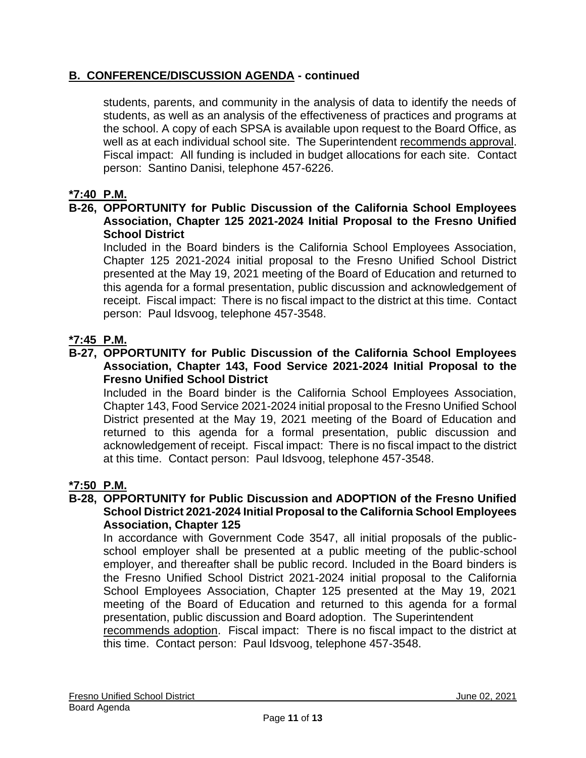# **B. CONFERENCE/DISCUSSION AGENDA - continued**

students, parents, and community in the analysis of data to identify the needs of students, as well as an analysis of the effectiveness of practices and programs at the school. A copy of each SPSA is available upon request to the Board Office, as well as at each individual school site. The Superintendent recommends approval. Fiscal impact: All funding is included in budget allocations for each site. Contact person: Santino Danisi, telephone 457-6226.

# **\*7:40 P.M.**

### **B-26, OPPORTUNITY for Public Discussion of the California School Employees Association, Chapter 125 2021-2024 Initial Proposal to the Fresno Unified School District**

Included in the Board binders is the California School Employees Association, Chapter 125 2021-2024 initial proposal to the Fresno Unified School District presented at the May 19, 2021 meeting of the Board of Education and returned to this agenda for a formal presentation, public discussion and acknowledgement of receipt. Fiscal impact: There is no fiscal impact to the district at this time. Contact person: Paul Idsvoog, telephone 457-3548.

# **\*7:45 P.M.**

### **B-27, OPPORTUNITY for Public Discussion of the California School Employees Association, Chapter 143, Food Service 2021-2024 Initial Proposal to the Fresno Unified School District**

Included in the Board binder is the California School Employees Association, Chapter 143, Food Service 2021-2024 initial proposal to the Fresno Unified School District presented at the May 19, 2021 meeting of the Board of Education and returned to this agenda for a formal presentation, public discussion and acknowledgement of receipt. Fiscal impact: There is no fiscal impact to the district at this time. Contact person: Paul Idsvoog, telephone 457-3548.

# **\*7:50 P.M.**

#### **B-28, OPPORTUNITY for Public Discussion and ADOPTION of the Fresno Unified School District 2021-2024 Initial Proposal to the California School Employees Association, Chapter 125**

In accordance with Government Code 3547, all initial proposals of the publicschool employer shall be presented at a public meeting of the public-school employer, and thereafter shall be public record. Included in the Board binders is the Fresno Unified School District 2021-2024 initial proposal to the California School Employees Association, Chapter 125 presented at the May 19, 2021 meeting of the Board of Education and returned to this agenda for a formal presentation, public discussion and Board adoption. The Superintendent

recommends adoption. Fiscal impact: There is no fiscal impact to the district at this time. Contact person: Paul Idsvoog, telephone 457-3548.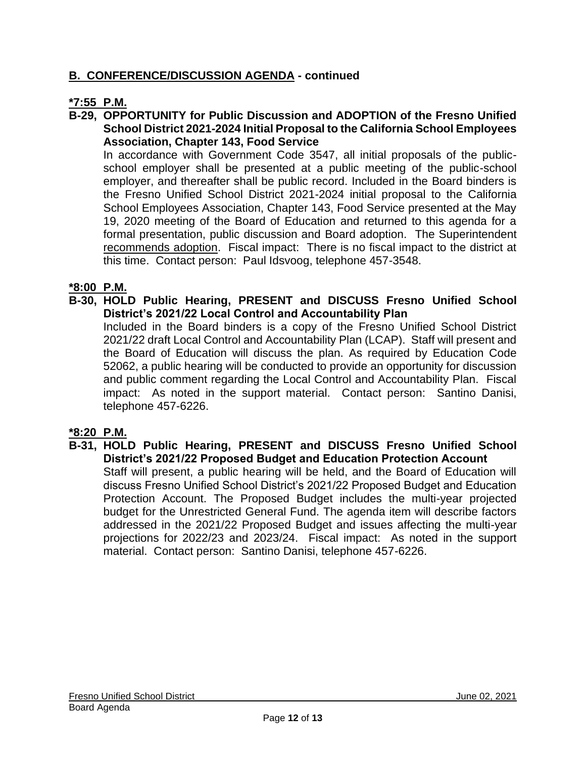# **B. CONFERENCE/DISCUSSION AGENDA - continued**

# **\*7:55 P.M.**

**B-29, OPPORTUNITY for Public Discussion and ADOPTION of the Fresno Unified School District 2021-2024 Initial Proposal to the California School Employees Association, Chapter 143, Food Service**

In accordance with Government Code 3547, all initial proposals of the publicschool employer shall be presented at a public meeting of the public-school employer, and thereafter shall be public record. Included in the Board binders is the Fresno Unified School District 2021-2024 initial proposal to the California School Employees Association, Chapter 143, Food Service presented at the May 19, 2020 meeting of the Board of Education and returned to this agenda for a formal presentation, public discussion and Board adoption. The Superintendent recommends adoption. Fiscal impact: There is no fiscal impact to the district at this time. Contact person: Paul Idsvoog, telephone 457-3548.

### **\*8:00 P.M.**

**B-30, HOLD Public Hearing, PRESENT and DISCUSS Fresno Unified School District's 2021/22 Local Control and Accountability Plan**

Included in the Board binders is a copy of the Fresno Unified School District 2021/22 draft Local Control and Accountability Plan (LCAP). Staff will present and the Board of Education will discuss the plan. As required by Education Code 52062, a public hearing will be conducted to provide an opportunity for discussion and public comment regarding the Local Control and Accountability Plan. Fiscal impact: As noted in the support material. Contact person: Santino Danisi, telephone 457-6226.

# **\*8:20 P.M.**

**B-31, HOLD Public Hearing, PRESENT and DISCUSS Fresno Unified School District's 2021/22 Proposed Budget and Education Protection Account**

Staff will present, a public hearing will be held, and the Board of Education will discuss Fresno Unified School District's 2021/22 Proposed Budget and Education Protection Account. The Proposed Budget includes the multi-year projected budget for the Unrestricted General Fund. The agenda item will describe factors addressed in the 2021/22 Proposed Budget and issues affecting the multi-year projections for 2022/23 and 2023/24. Fiscal impact: As noted in the support material. Contact person: Santino Danisi, telephone 457-6226.